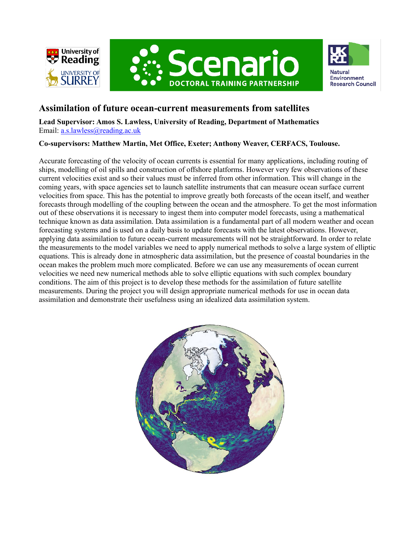





## **Assimilation of future ocean-current measurements from satellites**

**Lead Supervisor: Amos S. Lawless, University of Reading, Department of Mathematics** Email: [a.s.lawless@reading.ac.uk](mailto:a.s.lawless@reading.ac.uk)

## **Co-supervisors: Matthew Martin, Met Office, Exeter; Anthony Weaver, CERFACS, Toulouse.**

Accurate forecasting of the velocity of ocean currents is essential for many applications, including routing of ships, modelling of oil spills and construction of offshore platforms. However very few observations of these current velocities exist and so their values must be inferred from other information. This will change in the coming years, with space agencies set to launch satellite instruments that can measure ocean surface current velocities from space. This has the potential to improve greatly both forecasts of the ocean itself, and weather forecasts through modelling of the coupling between the ocean and the atmosphere. To get the most information out of these observations it is necessary to ingest them into computer model forecasts, using a mathematical technique known as data assimilation. Data assimilation is a fundamental part of all modern weather and ocean forecasting systems and is used on a daily basis to update forecasts with the latest observations. However, applying data assimilation to future ocean-current measurements will not be straightforward. In order to relate the measurements to the model variables we need to apply numerical methods to solve a large system of elliptic equations. This is already done in atmospheric data assimilation, but the presence of coastal boundaries in the ocean makes the problem much more complicated. Before we can use any measurements of ocean current velocities we need new numerical methods able to solve elliptic equations with such complex boundary conditions. The aim of this project is to develop these methods for the assimilation of future satellite measurements. During the project you will design appropriate numerical methods for use in ocean data assimilation and demonstrate their usefulness using an idealized data assimilation system.